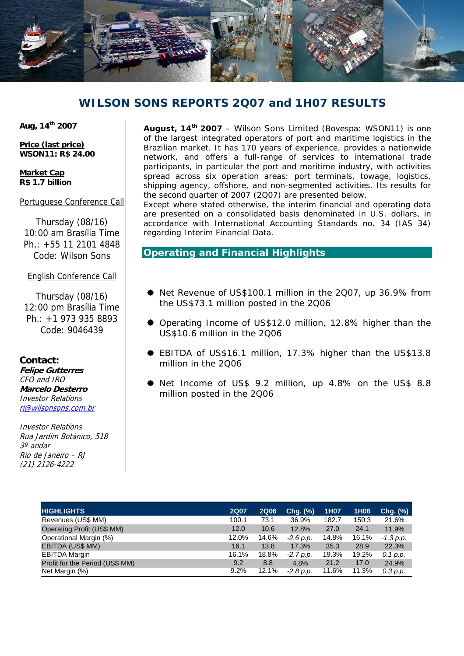

# **WILSON SONS REPORTS 2Q07 and 1H07 RESULTS**

**Aug, 14th 2007** 

**Price (last price) WSON11: R\$ 24.00** 

**Market Cap R\$ 1.7 billion** 

Portuguese Conference Call

Thursday (08/16) 10:00 am Brasília Time Ph $\cdot$  +55 11 2101 4848 Code: Wilson Sons

English Conference Call

Thursday (08/16) 12:00 pm Brasília Time Ph.: +1 973 935 8893 Code: 9046439

**Contact: Felipe Gutterres**  CFO and IRO **Marcelo Desterro**  Investor Relations ri@wilsonsons.com.br

Investor Relations Rua Jardim Botânico, 518 3º andar Rio de Janeiro – RJ (21) 2126-4222

**August, 14th 2007** – Wilson Sons Limited (Bovespa: WSON11) is one of the largest integrated operators of port and maritime logistics in the Brazilian market. It has 170 years of experience, provides a nationwide network, and offers a full-range of services to international trade participants, in particular the port and maritime industry, with activities spread across six operation areas: port terminals, towage, logistics, shipping agency, offshore, and non-segmented activities. Its results for the second quarter of 2007 (2Q07) are presented below.

Except where stated otherwise, the interim financial and operating data are presented on a consolidated basis denominated in U.S. dollars, in accordance with International Accounting Standards no. 34 (IAS 34) regarding Interim Financial Data.

# **Operating and Financial Highlights**

- Net Revenue of US\$100.1 million in the 2Q07, up 36.9% from the US\$73.1 million posted in the 2Q06
- Operating Income of US\$12.0 million, 12.8% higher than the US\$10.6 million in the 2Q06
- EBITDA of US\$16.1 million, 17.3% higher than the US\$13.8 million in the 2Q06
- Net Income of US\$ 9.2 million, up 4.8% on the US\$ 8.8 million posted in the 2Q06

| <b>HIGHLIGHTS</b>               | <b>2Q07</b> | <b>2Q06</b> | $Chg.$ $(\%)$ | 1H07  | 1H <sub>06</sub> | Chg. (%)    |
|---------------------------------|-------------|-------------|---------------|-------|------------------|-------------|
| Revenues (US\$ MM)              | 100.1       | 73.1        | 36.9%         | 182.7 | 150.3            | 21.6%       |
| Operating Profit (US\$ MM)      | 12.0        | 10.6        | 12.8%         | 27.0  | 24.1             | 11.9%       |
| Operational Margin (%)          | 12.0%       | 14.6%       | $-2.6$ p.p.   | 14.8% | 16.1%            | $-1.3 p.p.$ |
| EBITDA (US\$ MM)                | 16.1        | 13.8        | 17.3%         | 35.3  | 28.9             | 22.3%       |
| <b>EBITDA Margin</b>            | 16.1%       | 18.8%       | $-2.7 p.p.$   | 19.3% | 19.2%            | 0.1 p.p.    |
| Profit for the Period (US\$ MM) | 9.2         | 8.8         | 4.8%          | 21.2  | 17.0             | 24.9%       |
| Net Margin (%)                  | 9.2%        | 12.1%       | $-2.8$ p.p.   | 11.6% | 11.3%            | 0.3 p.p.    |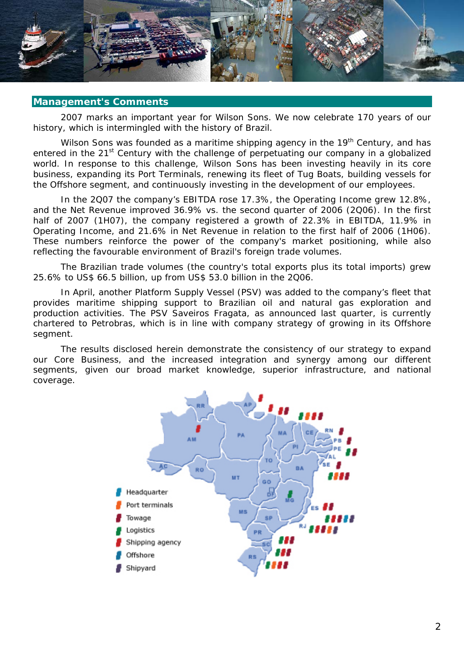

#### **Management's Comments**

2007 marks an important year for Wilson Sons. We now celebrate 170 years of our history, which is intermingled with the history of Brazil.

Wilson Sons was founded as a maritime shipping agency in the 19<sup>th</sup> Century, and has entered in the 21<sup>st</sup> Century with the challenge of perpetuating our company in a globalized world. In response to this challenge, Wilson Sons has been investing heavily in its core business, expanding its Port Terminals, renewing its fleet of Tug Boats, building vessels for the Offshore segment, and continuously investing in the development of our employees.

In the 2Q07 the company's EBITDA rose 17.3%, the Operating Income grew 12.8%, and the Net Revenue improved 36.9% vs. the second quarter of 2006 (2Q06). In the first half of 2007 (1H07), the company registered a growth of 22.3% in EBITDA, 11.9% in Operating Income, and 21.6% in Net Revenue in relation to the first half of 2006 (1H06). These numbers reinforce the power of the company's market positioning, while also reflecting the favourable environment of Brazil's foreign trade volumes.

The Brazilian trade volumes (the country's total exports plus its total imports) grew 25.6% to US\$ 66.5 billion, up from US\$ 53.0 billion in the 2Q06.

In April, another Platform Supply Vessel (PSV) was added to the company's fleet that provides maritime shipping support to Brazilian oil and natural gas exploration and production activities. The PSV Saveiros Fragata, as announced last quarter, is currently chartered to Petrobras, which is in line with company strategy of growing in its Offshore segment.

The results disclosed herein demonstrate the consistency of our strategy to expand our Core Business, and the increased integration and synergy among our different segments, given our broad market knowledge, superior infrastructure, and national coverage.

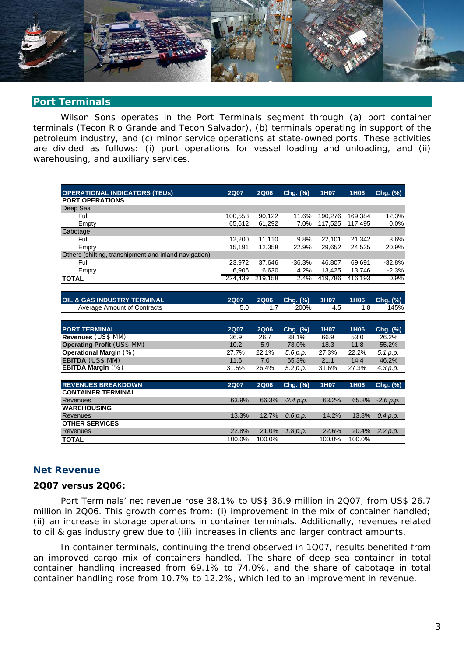

# **Port Terminals**

Wilson Sons operates in the Port Terminals segment through (a) port container terminals (Tecon Rio Grande and Tecon Salvador), (b) terminals operating in support of the petroleum industry, and (c) minor service operations at state-owned ports. These activities are divided as follows: (i) port operations for vessel loading and unloading, and (ii) warehousing, and auxiliary services.

| <b>OPERATIONAL INDICATORS (TEUS)</b>                  | <b>2Q07</b> | <b>2Q06</b> | Chg. (%)    | 1H07    | 1H06    | Chg. (%)    |
|-------------------------------------------------------|-------------|-------------|-------------|---------|---------|-------------|
| <b>PORT OPERATIONS</b>                                |             |             |             |         |         |             |
| Deep Sea                                              |             |             |             |         |         |             |
| Full                                                  | 100,558     | 90,122      | 11.6%       | 190,276 | 169,384 | 12.3%       |
| Empty                                                 | 65,612      | 61,292      | 7.0%        | 117,525 | 117,495 | 0.0%        |
| Cabotage                                              |             |             |             |         |         |             |
| Full                                                  | 12,200      | 11,110      | 9.8%        | 22,101  | 21,342  | 3.6%        |
| Empty                                                 | 15,191      | 12,358      | 22.9%       | 29,652  | 24,535  | 20.9%       |
| Others (shifting, transhipment and inland navigation) |             |             |             |         |         |             |
| Full                                                  | 23.972      | 37,646      | $-36.3%$    | 46.807  | 69,691  | $-32.8%$    |
| Empty                                                 | 6,906       | 6,630       | 4.2%        | 13,425  | 13,746  | $-2.3%$     |
| <b>TOTAL</b>                                          | 224,439     | 219,158     | 2.4%        | 419,786 | 416,193 | 0.9%        |
|                                                       |             |             |             |         |         |             |
|                                                       |             |             |             |         |         |             |
| <b>OIL &amp; GAS INDUSTRY TERMINAL</b>                | <b>2Q07</b> | <b>2Q06</b> | Chg. (%)    | 1H07    | 1H06    | Chg. (%)    |
| <b>Average Amount of Contracts</b>                    | 5.0         | 1.7         | 200%        | 4.5     | 1.8     | 145%        |
|                                                       |             |             |             |         |         |             |
| <b>PORT TERMINAL</b>                                  | <b>2Q07</b> | <b>2Q06</b> | Chg. (%)    | 1H07    | 1H06    | Chg. (%)    |
| Revenues (US\$ MM)                                    | 36.9        | 26.7        | 38.1%       | 66.9    | 53.0    | 26.2%       |
| <b>Operating Profit (US\$ MM)</b>                     | 10.2        | 5.9         | 73.0%       | 18.3    | 11.8    | 55.2%       |
| Operational Margin (%)                                | 27.7%       | 22.1%       | 5.6 p.p.    | 27.3%   | 22.2%   | 5.1 p.p.    |
| <b>EBITDA</b> (US\$ MM)                               | 11.6        | 7.0         | 65.3%       | 21.1    | 14.4    | 46.2%       |
| EBITDA Margin $(%)$                                   | 31.5%       | 26.4%       | 5.2 p.p.    | 31.6%   | 27.3%   | 4.3 p.p.    |
|                                                       |             |             |             |         |         |             |
| <b>REVENUES BREAKDOWN</b>                             | <b>2Q07</b> | <b>2Q06</b> | Chg. (%)    | 1H07    | 1H06    | Chg. (%)    |
| <b>CONTAINER TERMINAL</b>                             |             |             |             |         |         |             |
| <b>Revenues</b>                                       | 63.9%       | 66.3%       | $-2.4 p.p.$ | 63.2%   | 65.8%   | $-2.6 p.p.$ |
| <b>WAREHOUSING</b>                                    |             |             |             |         |         |             |
| Revenues                                              | 13.3%       | 12.7%       | 0.6 p.p.    | 14.2%   | 13.8%   | 0.4 p.p.    |
| <b>OTHER SERVICES</b>                                 |             |             |             |         |         |             |
|                                                       |             |             |             |         |         |             |
| Revenues                                              | 22.8%       | 21.0%       | 1.8 p.p.    | 22.6%   | 20.4%   | 2.2 p.p.    |

# **Net Revenue**

#### **2Q07 versus 2Q06:**

Port Terminals' net revenue rose 38.1% to US\$ 36.9 million in 2Q07, from US\$ 26.7 million in 2Q06. This growth comes from: (i) improvement in the mix of container handled; (ii) an increase in storage operations in container terminals. Additionally, revenues related to oil & gas industry grew due to (iii) increases in clients and larger contract amounts.

In container terminals, continuing the trend observed in 1Q07, results benefited from an improved cargo mix of containers handled. The share of deep sea container in total container handling increased from 69.1% to 74.0%, and the share of cabotage in total container handling rose from 10.7% to 12.2%, which led to an improvement in revenue.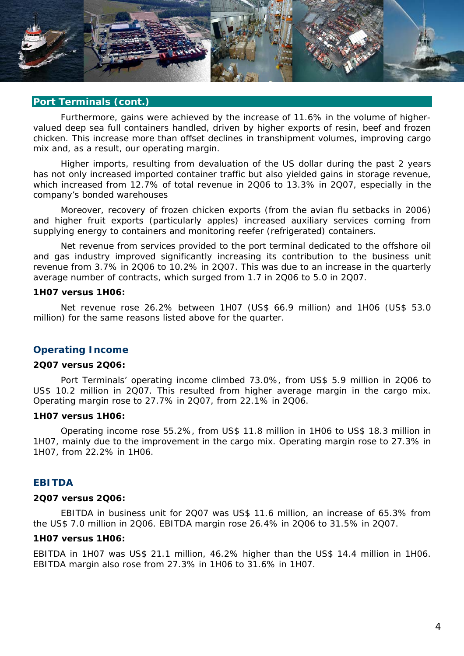

# **Port Terminals (cont.)**

Furthermore, gains were achieved by the increase of 11.6% in the volume of highervalued deep sea full containers handled, driven by higher exports of resin, beef and frozen chicken. This increase more than offset declines in transhipment volumes, improving cargo mix and, as a result, our operating margin.

Higher imports, resulting from devaluation of the US dollar during the past 2 years has not only increased imported container traffic but also yielded gains in storage revenue, which increased from 12.7% of total revenue in 2Q06 to 13.3% in 2Q07, especially in the company's bonded warehouses

Moreover, recovery of frozen chicken exports (from the avian flu setbacks in 2006) and higher fruit exports (particularly apples) increased auxiliary services coming from supplying energy to containers and monitoring reefer (refrigerated) containers.

Net revenue from services provided to the port terminal dedicated to the offshore oil and gas industry improved significantly increasing its contribution to the business unit revenue from 3.7% in 2Q06 to 10.2% in 2Q07. This was due to an increase in the quarterly average number of contracts, which surged from 1.7 in 2Q06 to 5.0 in 2Q07.

#### **1H07 versus 1H06:**

Net revenue rose 26.2% between 1H07 (US\$ 66.9 million) and 1H06 (US\$ 53.0 million) for the same reasons listed above for the quarter.

#### **Operating Income**

#### **2Q07 versus 2Q06:**

Port Terminals' operating income climbed 73.0%, from US\$ 5.9 million in 2Q06 to US\$ 10.2 million in 2Q07. This resulted from higher average margin in the cargo mix. Operating margin rose to 27.7% in 2Q07, from 22.1% in 2Q06.

#### **1H07 versus 1H06:**

Operating income rose 55.2%, from US\$ 11.8 million in 1H06 to US\$ 18.3 million in 1H07, mainly due to the improvement in the cargo mix. Operating margin rose to 27.3% in 1H07, from 22.2% in 1H06.

#### **EBITDA**

#### **2Q07 versus 2Q06:**

EBITDA in business unit for 2Q07 was US\$ 11.6 million, an increase of 65.3% from the US\$ 7.0 million in 2Q06. EBITDA margin rose 26.4% in 2Q06 to 31.5% in 2Q07.

#### **1H07 versus 1H06:**

EBITDA in 1H07 was US\$ 21.1 million, 46.2% higher than the US\$ 14.4 million in 1H06. EBITDA margin also rose from 27.3% in 1H06 to 31.6% in 1H07.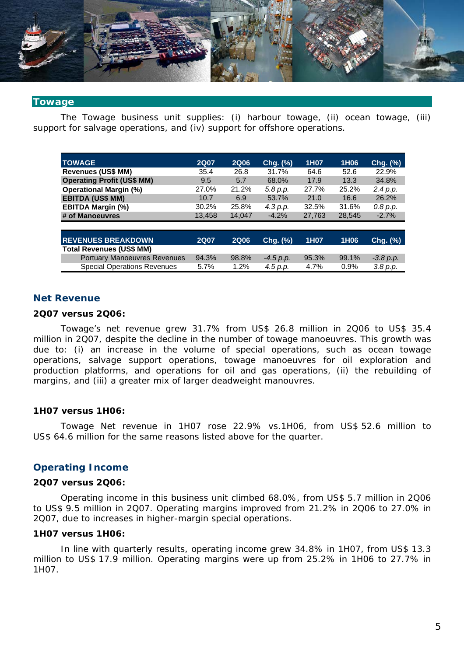

#### **Towage**

The Towage business unit supplies: (i) harbour towage, (ii) ocean towage, (iii) support for salvage operations, and (iv) support for offshore operations.

| <b>TOWAGE</b>                       | <b>2Q07</b> | <b>2Q06</b> | Chg. (%)    | 1H07   | 1H06   | Chg. (%)      |
|-------------------------------------|-------------|-------------|-------------|--------|--------|---------------|
| <b>Revenues (US\$ MM)</b>           | 35.4        | 26.8        | 31.7%       | 64.6   | 52.6   | 22.9%         |
| <b>Operating Profit (US\$ MM)</b>   | 9.5         | 5.7         | 68.0%       | 17.9   | 13.3   | 34.8%         |
| <b>Operational Margin (%)</b>       | 27.0%       | 21.2%       | 5.8 p.p.    | 27.7%  | 25.2%  | 2.4 p.p.      |
| <b>EBITDA (US\$ MM)</b>             | 10.7        | 6.9         | 53.7%       | 21.0   | 16.6   | 26.2%         |
| <b>EBITDA Margin (%)</b>            | 30.2%       | 25.8%       | 4.3 p.p.    | 32.5%  | 31.6%  | 0.8 p.p.      |
| # of Manoeuvres                     | 13,458      | 14.047      | $-4.2%$     | 27,763 | 28,545 | $-2.7%$       |
|                                     |             |             |             |        |        |               |
| <b>REVENUES BREAKDOWN</b>           | <b>2Q07</b> | <b>2Q06</b> | Chg. (%)    | 1H07   | 1H06   | $Chg.$ $(\%)$ |
| <b>Total Revenues (US\$ MM)</b>     |             |             |             |        |        |               |
| <b>Portuary Manoeuvres Revenues</b> | 94.3%       | 98.8%       | $-4.5 p.p.$ | 95.3%  | 99.1%  | $-3.8 p.p.$   |
| <b>Special Operations Revenues</b>  | 5.7%        | 1.2%        | 4.5 p.p.    | 4.7%   | 0.9%   | 3.8 p.p.      |

#### **Net Revenue**

#### **2Q07 versus 2Q06:**

Towage's net revenue grew 31.7% from US\$ 26.8 million in 2Q06 to US\$ 35.4 million in 2Q07, despite the decline in the number of towage manoeuvres. This growth was due to: (i) an increase in the volume of special operations, such as ocean towage operations, salvage support operations, towage manoeuvres for oil exploration and production platforms, and operations for oil and gas operations, (ii) the rebuilding of margins, and (iii) a greater mix of larger deadweight manouvres.

#### **1H07 versus 1H06:**

Towage Net revenue in 1H07 rose 22.9% vs.1H06, from US\$ 52.6 million to US\$ 64.6 million for the same reasons listed above for the quarter.

# **Operating Income**

#### **2Q07 versus 2Q06:**

Operating income in this business unit climbed 68.0%, from US\$ 5.7 million in 2Q06 to US\$ 9.5 million in 2Q07. Operating margins improved from 21.2% in 2Q06 to 27.0% in 2Q07, due to increases in higher-margin special operations.

#### **1H07 versus 1H06:**

In line with quarterly results, operating income grew 34.8% in 1H07, from US\$ 13.3 million to US\$ 17.9 million. Operating margins were up from 25.2% in 1H06 to 27.7% in 1H07.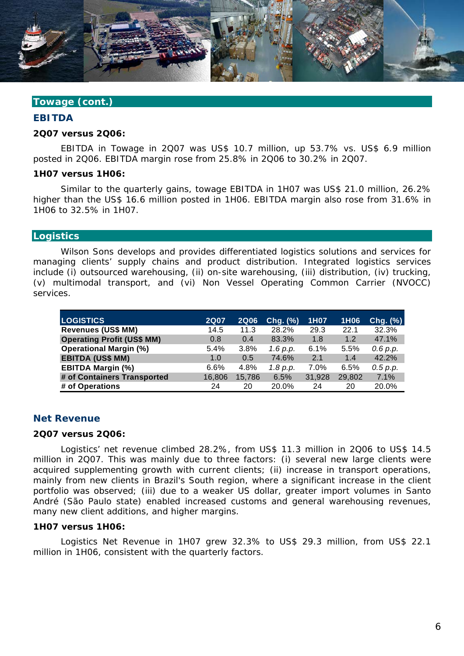

# **Towage (cont.)**

#### **EBITDA**

#### **2Q07 versus 2Q06:**

EBITDA in Towage in 2Q07 was US\$ 10.7 million, up 53.7% vs. US\$ 6.9 million posted in 2Q06. EBITDA margin rose from 25.8% in 2Q06 to 30.2% in 2Q07.

#### **1H07 versus 1H06:**

Similar to the quarterly gains, towage EBITDA in 1H07 was US\$ 21.0 million, 26.2% higher than the US\$ 16.6 million posted in 1H06. EBITDA margin also rose from 31.6% in 1H06 to 32.5% in 1H07.

#### **Logistics**

Wilson Sons develops and provides differentiated logistics solutions and services for managing clients' supply chains and product distribution. Integrated logistics services include (i) outsourced warehousing, (ii) on-site warehousing, (iii) distribution, (iv) trucking, (v) multimodal transport, and (vi) Non Vessel Operating Common Carrier (NVOCC) services.

| <b>LOGISTICS</b>                  | <b>2Q07</b> | <b>2Q06</b> | Chg. (%) | 1H07   | 1H06   | Chg. (%) |
|-----------------------------------|-------------|-------------|----------|--------|--------|----------|
| <b>Revenues (US\$ MM)</b>         | 14.5        | 11.3        | 28.2%    | 29.3   | 22.1   | 32.3%    |
| <b>Operating Profit (US\$ MM)</b> | 0.8         | 0.4         | 83.3%    | 1.8    | 1.2    | 47.1%    |
| <b>Operational Margin (%)</b>     | 5.4%        | 3.8%        | 1.6 p.p. | 6.1%   | 5.5%   | 0.6 p.p. |
| <b>EBITDA (US\$ MM)</b>           | 1.0         | 0.5         | 74.6%    | 2.1    | 1.4    | 42.2%    |
| <b>EBITDA Margin (%)</b>          | 6.6%        | 4.8%        | 1.8 p.p. | 7.0%   | 6.5%   | 0.5 p.p. |
| # of Containers Transported       | 16,806      | 15,786      | 6.5%     | 31,928 | 29,802 | 7.1%     |
| # of Operations                   | 24          | 20          | 20.0%    | 24     | 20     | 20.0%    |

#### **Net Revenue**

#### **2Q07 versus 2Q06:**

Logistics' net revenue climbed 28.2%, from US\$ 11.3 million in 2Q06 to US\$ 14.5 million in 2Q07. This was mainly due to three factors: (i) several new large clients were acquired supplementing growth with current clients; (ii) increase in transport operations, mainly from new clients in Brazil's South region, where a significant increase in the client portfolio was observed; (iii) due to a weaker US dollar, greater import volumes in Santo André (São Paulo state) enabled increased customs and general warehousing revenues, many new client additions, and higher margins.

#### **1H07 versus 1H06:**

Logistics Net Revenue in 1H07 grew 32.3% to US\$ 29.3 million, from US\$ 22.1 million in 1H06, consistent with the quarterly factors.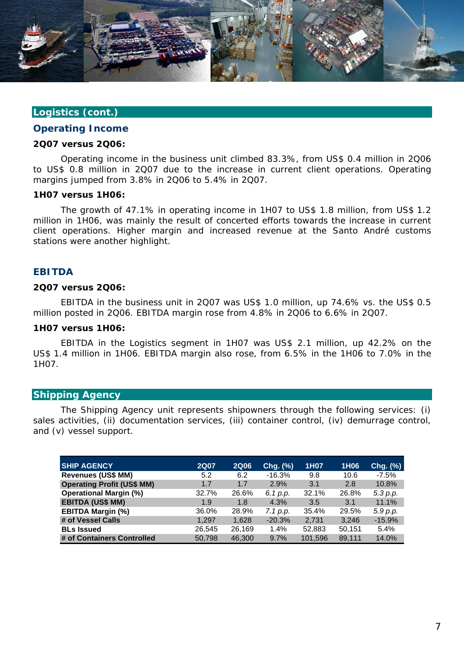

#### **Logistics (cont.)**

#### **Operating Income**

#### **2Q07 versus 2Q06:**

Operating income in the business unit climbed 83.3%, from US\$ 0.4 million in 2Q06 to US\$ 0.8 million in 2Q07 due to the increase in current client operations. Operating margins jumped from 3.8% in 2Q06 to 5.4% in 2Q07.

#### **1H07 versus 1H06:**

The growth of 47.1% in operating income in 1H07 to US\$ 1.8 million, from US\$ 1.2 million in 1H06, was mainly the result of concerted efforts towards the increase in current client operations. Higher margin and increased revenue at the Santo André customs stations were another highlight.

#### **EBITDA**

#### **2Q07 versus 2Q06:**

EBITDA in the business unit in 2Q07 was US\$ 1.0 million, up 74.6% vs. the US\$ 0.5 million posted in 2Q06. EBITDA margin rose from 4.8% in 2Q06 to 6.6% in 2Q07.

#### **1H07 versus 1H06:**

EBITDA in the Logistics segment in 1H07 was US\$ 2.1 million, up 42.2% on the US\$ 1.4 million in 1H06. EBITDA margin also rose, from 6.5% in the 1H06 to 7.0% in the 1H07.

# **Shipping Agency**

The Shipping Agency unit represents shipowners through the following services: (i) sales activities, (ii) documentation services, (iii) container control, (iv) demurrage control, and (v) vessel support.

| <b>SHIP AGENCY</b>                | <b>2Q07</b> | <b>2Q06</b> | Chg. (%) | 1H07    | 1H06   | $Chg.$ $(\%)$ |
|-----------------------------------|-------------|-------------|----------|---------|--------|---------------|
| <b>Revenues (US\$ MM)</b>         | 5.2         | 6.2         | $-16.3%$ | 9.8     | 10.6   | $-7.5%$       |
| <b>Operating Profit (US\$ MM)</b> | 1.7         | 1.7         | 2.9%     | 3.1     | 2.8    | 10.8%         |
| <b>Operational Margin (%)</b>     | 32.7%       | 26.6%       | 6.1 p.p. | 32.1%   | 26.8%  | 5.3 p.p.      |
| <b>EBITDA (US\$ MM)</b>           | 1.9         | 1.8         | 4.3%     | 3.5     | 3.1    | 11.1%         |
| <b>EBITDA Margin (%)</b>          | 36.0%       | 28.9%       | 7.1 p.p. | 35.4%   | 29.5%  | 5.9 p.p.      |
| # of Vessel Calls                 | 1.297       | 1.628       | $-20.3%$ | 2.731   | 3.246  | $-15.9%$      |
| <b>BLs Issued</b>                 | 26,545      | 26.169      | 1.4%     | 52,883  | 50,151 | 5.4%          |
| # of Containers Controlled        | 50,798      | 46,300      | 9.7%     | 101,596 | 89.111 | 14.0%         |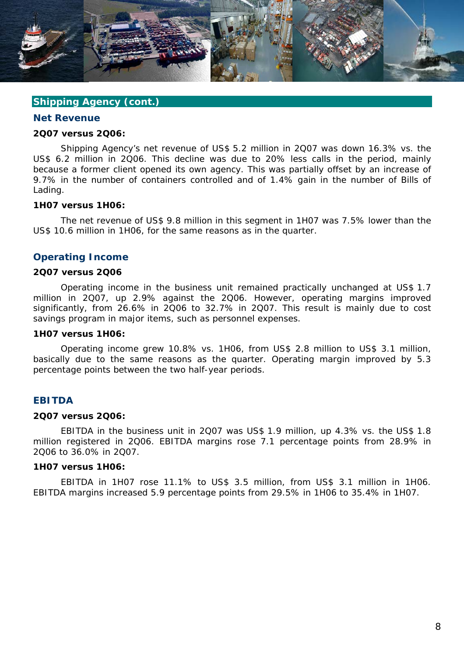

# **Shipping Agency (cont.)**

#### **Net Revenue**

#### **2Q07 versus 2Q06:**

Shipping Agency's net revenue of US\$ 5.2 million in 2Q07 was down 16.3% vs. the US\$ 6.2 million in 2Q06. This decline was due to 20% less calls in the period, mainly because a former client opened its own agency. This was partially offset by an increase of 9.7% in the number of containers controlled and of 1.4% gain in the number of Bills of Lading.

#### **1H07 versus 1H06:**

The net revenue of US\$ 9.8 million in this segment in 1H07 was 7.5% lower than the US\$ 10.6 million in 1H06, for the same reasons as in the quarter.

#### **Operating Income**

#### **2Q07 versus 2Q06**

Operating income in the business unit remained practically unchanged at US\$ 1.7 million in 2Q07, up 2.9% against the 2Q06. However, operating margins improved significantly, from 26.6% in 2Q06 to 32.7% in 2Q07. This result is mainly due to cost savings program in major items, such as personnel expenses.

#### **1H07 versus 1H06:**

Operating income grew 10.8% vs. 1H06, from US\$ 2.8 million to US\$ 3.1 million, basically due to the same reasons as the quarter. Operating margin improved by 5.3 percentage points between the two half-year periods.

#### **EBITDA**

#### **2Q07 versus 2Q06:**

EBITDA in the business unit in 2Q07 was US\$ 1.9 million, up 4.3% vs. the US\$ 1.8 million registered in 2Q06. EBITDA margins rose 7.1 percentage points from 28.9% in 2Q06 to 36.0% in 2Q07.

# **1H07 versus 1H06:**

EBITDA in 1H07 rose 11.1% to US\$ 3.5 million, from US\$ 3.1 million in 1H06. EBITDA margins increased 5.9 percentage points from 29.5% in 1H06 to 35.4% in 1H07.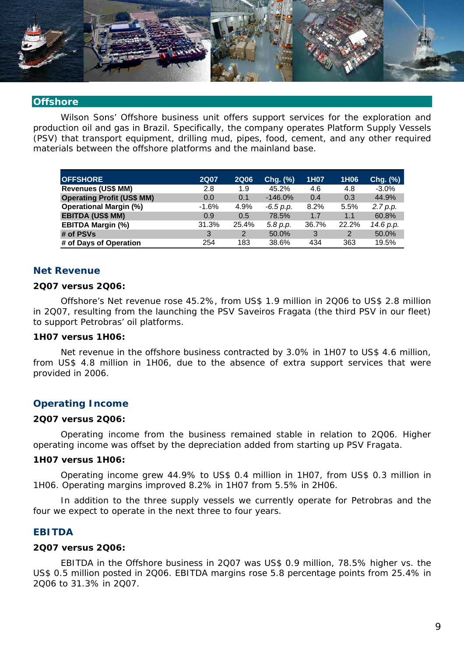

#### **Offshore**

Wilson Sons' Offshore business unit offers support services for the exploration and production oil and gas in Brazil. Specifically, the company operates Platform Supply Vessels (PSV) that transport equipment, drilling mud, pipes, food, cement, and any other required materials between the offshore platforms and the mainland base.

| <b>OFFSHORE</b>                   | <b>2Q07</b> | <b>2Q06</b>    | Chg. (%)    | 1H07  | 1H06  | Chg. (%)  |
|-----------------------------------|-------------|----------------|-------------|-------|-------|-----------|
| <b>Revenues (US\$ MM)</b>         | 2.8         | 1.9            | 45.2%       | 4.6   | 4.8   | $-3.0\%$  |
| <b>Operating Profit (US\$ MM)</b> | 0.0         | 0.1            | $-146.0%$   | 0.4   | 0.3   | 44.9%     |
| <b>Operational Margin (%)</b>     | $-1.6%$     | 4.9%           | $-6.5 p.p.$ | 8.2%  | 5.5%  | 2.7 p.p.  |
| <b>EBITDA (US\$ MM)</b>           | 0.9         | 0.5            | 78.5%       | 1.7   | 1.1   | 60.8%     |
| <b>EBITDA Margin (%)</b>          | 31.3%       | 25.4%          | 5.8 p.p.    | 36.7% | 22.2% | 14.6 p.p. |
| # of PSVs                         | 3           | $\overline{2}$ | 50.0%       | 3     | 2     | 50.0%     |
| # of Days of Operation            | 254         | 183            | 38.6%       | 434   | 363   | 19.5%     |

# **Net Revenue**

# **2Q07 versus 2Q06:**

Offshore's Net revenue rose 45.2%, from US\$ 1.9 million in 2Q06 to US\$ 2.8 million in 2Q07, resulting from the launching the PSV Saveiros Fragata (the third PSV in our fleet) to support Petrobras' oil platforms.

#### **1H07 versus 1H06:**

Net revenue in the offshore business contracted by 3.0% in 1H07 to US\$ 4.6 million, from US\$ 4.8 million in 1H06, due to the absence of extra support services that were provided in 2006.

#### **Operating Income**

#### **2Q07 versus 2Q06:**

Operating income from the business remained stable in relation to 2Q06. Higher operating income was offset by the depreciation added from starting up PSV Fragata.

#### **1H07 versus 1H06:**

Operating income grew 44.9% to US\$ 0.4 million in 1H07, from US\$ 0.3 million in 1H06. Operating margins improved 8.2% in 1H07 from 5.5% in 2H06.

In addition to the three supply vessels we currently operate for Petrobras and the four we expect to operate in the next three to four years.

### **EBITDA**

#### **2Q07 versus 2Q06:**

EBITDA in the Offshore business in 2Q07 was US\$ 0.9 million, 78.5% higher vs. the US\$ 0.5 million posted in 2Q06. EBITDA margins rose 5.8 percentage points from 25.4% in 2Q06 to 31.3% in 2Q07.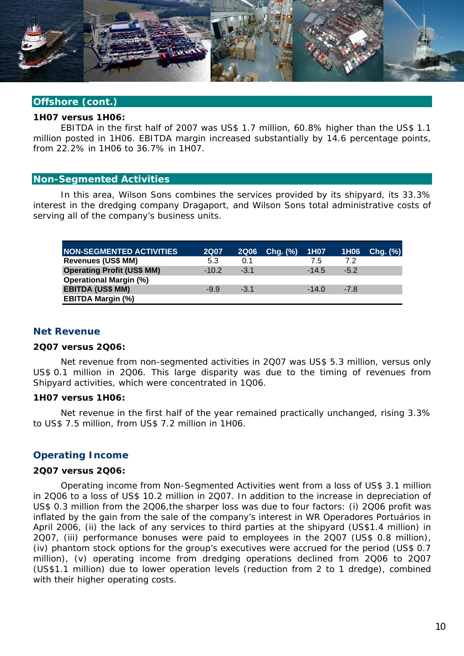

### **Offshore (cont.)**

#### **1H07 versus 1H06:**

EBITDA in the first half of 2007 was US\$ 1.7 million, 60.8% higher than the US\$ 1.1 million posted in 1H06. EBITDA margin increased substantially by 14.6 percentage points, from 22.2% in 1H06 to 36.7% in 1H07.

#### **Non-Segmented Activities**

In this area, Wilson Sons combines the services provided by its shipyard, its 33.3% interest in the dredging company Dragaport, and Wilson Sons total administrative costs of serving all of the company's business units.

| <b>NON-SEGMENTED ACTIVITIES</b>   | <b>2Q07</b> | <b>2Q06</b> | $Chg.$ $%$ | 1H07    |        | 1H06 Chg. (%) |
|-----------------------------------|-------------|-------------|------------|---------|--------|---------------|
| <b>Revenues (US\$ MM)</b>         | 5.3         | 0.1         |            | 7.5     | 7.2    |               |
| <b>Operating Profit (US\$ MM)</b> | $-10.2$     | $-3.1$      |            | $-14.5$ | $-5.2$ |               |
| <b>Operational Margin (%)</b>     |             |             |            |         |        |               |
| <b>EBITDA (US\$ MM)</b>           | $-9.9$      | $-3.1$      |            | $-14.0$ | $-7.8$ |               |
| <b>EBITDA Margin (%)</b>          |             |             |            |         |        |               |

#### **Net Revenue**

#### **2Q07 versus 2Q06:**

Net revenue from non-segmented activities in 2Q07 was US\$ 5.3 million, versus only US\$ 0.1 million in 2Q06. This large disparity was due to the timing of revenues from Shipyard activities, which were concentrated in 1Q06.

#### **1H07 versus 1H06:**

Net revenue in the first half of the year remained practically unchanged, rising 3.3% to US\$ 7.5 million, from US\$ 7.2 million in 1H06.

#### **Operating Income**

#### **2Q07 versus 2Q06:**

Operating income from Non-Segmented Activities went from a loss of US\$ 3.1 million in 2Q06 to a loss of US\$ 10.2 million in 2Q07. In addition to the increase in depreciation of US\$ 0.3 million from the 2Q06,the sharper loss was due to four factors: (i) 2Q06 profit was inflated by the gain from the sale of the company's interest in WR Operadores Portuários in April 2006, (ii) the lack of any services to third parties at the shipyard (US\$1.4 million) in 2Q07, (iii) performance bonuses were paid to employees in the 2Q07 (US\$ 0.8 million), (iv) phantom stock options for the group's executives were accrued for the period (US\$ 0.7 million), (v) operating income from dredging operations declined from 2Q06 to 2Q07 (US\$1.1 million) due to lower operation levels (reduction from 2 to 1 dredge), combined with their higher operating costs.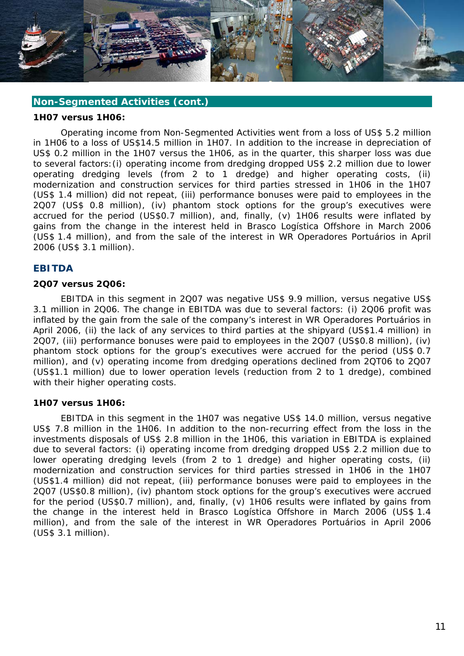

#### **Non-Segmented Activities (cont.)**

#### **1H07 versus 1H06:**

Operating income from Non-Segmented Activities went from a loss of US\$ 5.2 million in 1H06 to a loss of US\$14.5 million in 1H07. In addition to the increase in depreciation of US\$ 0.2 million in the 1H07 versus the 1H06, as in the quarter, this sharper loss was due to several factors:(i) operating income from dredging dropped US\$ 2.2 million due to lower operating dredging levels (from 2 to 1 dredge) and higher operating costs, (ii) modernization and construction services for third parties stressed in 1H06 in the 1H07 (US\$ 1.4 million) did not repeat, (iii) performance bonuses were paid to employees in the 2Q07 (US\$ 0.8 million), (iv) phantom stock options for the group's executives were accrued for the period (US\$0.7 million), and, finally, (v) 1H06 results were inflated by gains from the change in the interest held in Brasco Logística Offshore in March 2006 (US\$ 1.4 million), and from the sale of the interest in WR Operadores Portuários in April 2006 (US\$ 3.1 million).

#### **EBITDA**

#### **2Q07 versus 2Q06:**

EBITDA in this segment in 2Q07 was negative US\$ 9.9 million, versus negative US\$ 3.1 million in 2Q06. The change in EBITDA was due to several factors: (i) 2Q06 profit was inflated by the gain from the sale of the company's interest in WR Operadores Portuários in April 2006, (ii) the lack of any services to third parties at the shipyard (US\$1.4 million) in 2Q07, (iii) performance bonuses were paid to employees in the 2Q07 (US\$0.8 million), (iv) phantom stock options for the group's executives were accrued for the period (US\$ 0.7 million), and (v) operating income from dredging operations declined from 2QT06 to 2Q07 (US\$1.1 million) due to lower operation levels (reduction from 2 to 1 dredge), combined with their higher operating costs.

#### **1H07 versus 1H06:**

EBITDA in this segment in the 1H07 was negative US\$ 14.0 million, versus negative US\$ 7.8 million in the 1H06. In addition to the non-recurring effect from the loss in the investments disposals of US\$ 2.8 million in the 1H06, this variation in EBITDA is explained due to several factors: (i) operating income from dredging dropped US\$ 2.2 million due to lower operating dredging levels (from 2 to 1 dredge) and higher operating costs, (ii) modernization and construction services for third parties stressed in 1H06 in the 1H07 (US\$1.4 million) did not repeat, (iii) performance bonuses were paid to employees in the 2Q07 (US\$0.8 million), (iv) phantom stock options for the group's executives were accrued for the period (US\$0.7 million), and, finally, (v) 1H06 results were inflated by gains from the change in the interest held in Brasco Logística Offshore in March 2006 (US\$ 1.4 million), and from the sale of the interest in WR Operadores Portuários in April 2006 (US\$ 3.1 million).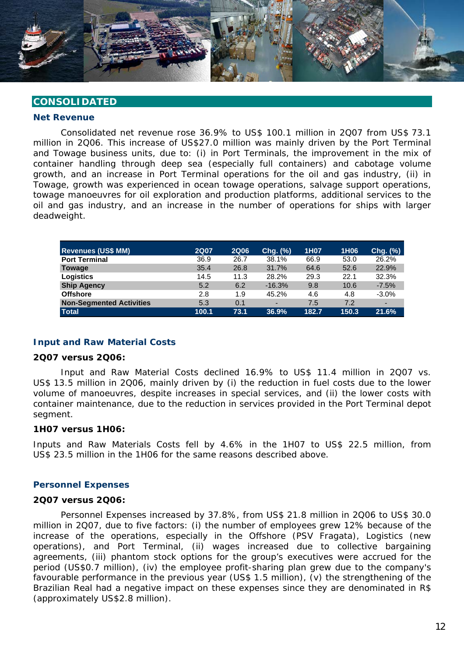

# **CONSOLIDATED**

#### **Net Revenue**

Consolidated net revenue rose 36.9% to US\$ 100.1 million in 2Q07 from US\$ 73.1 million in 2Q06. This increase of US\$27.0 million was mainly driven by the Port Terminal and Towage business units, due to: (i) in Port Terminals, the improvement in the mix of container handling through deep sea (especially full containers) and cabotage volume growth, and an increase in Port Terminal operations for the oil and gas industry, (ii) in Towage, growth was experienced in ocean towage operations, salvage support operations, towage manoeuvres for oil exploration and production platforms, additional services to the oil and gas industry, and an increase in the number of operations for ships with larger deadweight.

| <b>Revenues (US\$ MM)</b>       | <b>2Q07</b> | <b>2Q06</b> | Chg. (%) | 1H07  | 1H <sub>06</sub> | Chg. (%) |
|---------------------------------|-------------|-------------|----------|-------|------------------|----------|
| <b>Port Terminal</b>            | 36.9        | 26.7        | 38.1%    | 66.9  | 53.0             | 26.2%    |
| Towage                          | 35.4        | 26.8        | 31.7%    | 64.6  | 52.6             | 22.9%    |
| <b>Logistics</b>                | 14.5        | 11.3        | 28.2%    | 29.3  | 22.1             | 32.3%    |
| <b>Ship Agency</b>              | 5.2         | 6.2         | $-16.3%$ | 9.8   | 10.6             | $-7.5%$  |
| <b>Offshore</b>                 | 2.8         | 1.9         | 45.2%    | 4.6   | 4.8              | $-3.0\%$ |
| <b>Non-Segmented Activities</b> | 5.3         | 0.1         | -        | 7.5   | 7.2              |          |
| <b>Total</b>                    | 100.1       | 73.1        | 36.9%    | 182.7 | 150.3            | 21.6%    |

#### **Input and Raw Material Costs**

#### **2Q07 versus 2Q06:**

Input and Raw Material Costs declined 16.9% to US\$ 11.4 million in 2Q07 vs. US\$ 13.5 million in 2Q06, mainly driven by (i) the reduction in fuel costs due to the lower volume of manoeuvres, despite increases in special services, and (ii) the lower costs with container maintenance, due to the reduction in services provided in the Port Terminal depot segment.

#### **1H07 versus 1H06:**

Inputs and Raw Materials Costs fell by 4.6% in the 1H07 to US\$ 22.5 million, from US\$ 23.5 million in the 1H06 for the same reasons described above.

#### **Personnel Expenses**

#### **2Q07 versus 2Q06:**

Personnel Expenses increased by 37.8%, from US\$ 21.8 million in 2Q06 to US\$ 30.0 million in 2Q07, due to five factors: (i) the number of employees grew 12% because of the increase of the operations, especially in the Offshore (PSV Fragata), Logistics (new operations), and Port Terminal, (ii) wages increased due to collective bargaining agreements, (iii) phantom stock options for the group's executives were accrued for the period (US\$0.7 million), (iv) the employee profit-sharing plan grew due to the company's favourable performance in the previous year (US\$ 1.5 million), (v) the strengthening of the Brazilian Real had a negative impact on these expenses since they are denominated in R\$ (approximately US\$2.8 million).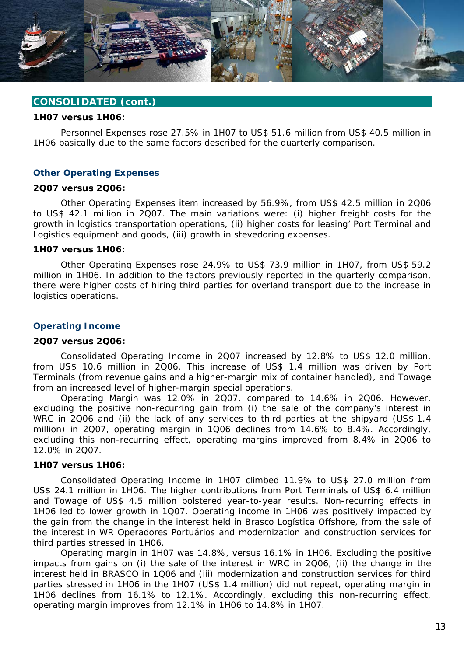

#### **1H07 versus 1H06:**

Personnel Expenses rose 27.5% in 1H07 to US\$ 51.6 million from US\$ 40.5 million in 1H06 basically due to the same factors described for the quarterly comparison.

#### **Other Operating Expenses**

#### **2Q07 versus 2Q06:**

Other Operating Expenses item increased by 56.9%, from US\$ 42.5 million in 2Q06 to US\$ 42.1 million in 2Q07. The main variations were: (i) higher freight costs for the growth in logistics transportation operations, (ii) higher costs for leasing' Port Terminal and Logistics equipment and goods, (iii) growth in stevedoring expenses.

#### **1H07 versus 1H06:**

Other Operating Expenses rose 24.9% to US\$ 73.9 million in 1H07, from US\$ 59.2 million in 1H06. In addition to the factors previously reported in the quarterly comparison, there were higher costs of hiring third parties for overland transport due to the increase in logistics operations.

#### **Operating Income**

#### **2Q07 versus 2Q06:**

Consolidated Operating Income in 2Q07 increased by 12.8% to US\$ 12.0 million, from US\$ 10.6 million in 2Q06. This increase of US\$ 1.4 million was driven by Port Terminals (from revenue gains and a higher-margin mix of container handled), and Towage from an increased level of higher-margin special operations.

Operating Margin was 12.0% in 2Q07, compared to 14.6% in 2Q06. However, excluding the positive non-recurring gain from (i) the sale of the company's interest in WRC in 2Q06 and (ii) the lack of any services to third parties at the shipyard (US\$ 1.4 million) in 2Q07, operating margin in 1Q06 declines from 14.6% to 8.4%. Accordingly, excluding this non-recurring effect, operating margins improved from 8.4% in 2Q06 to 12.0% in 2Q07.

#### **1H07 versus 1H06:**

Consolidated Operating Income in 1H07 climbed 11.9% to US\$ 27.0 million from US\$ 24.1 million in 1H06. The higher contributions from Port Terminals of US\$ 6.4 million and Towage of US\$ 4.5 million bolstered year-to-year results. Non-recurring effects in 1H06 led to lower growth in 1Q07. Operating income in 1H06 was positively impacted by the gain from the change in the interest held in Brasco Logística Offshore, from the sale of the interest in WR Operadores Portuários and modernization and construction services for third parties stressed in 1H06.

Operating margin in 1H07 was 14.8%, versus 16.1% in 1H06. Excluding the positive impacts from gains on (i) the sale of the interest in WRC in 2Q06, (ii) the change in the interest held in BRASCO in 1Q06 and (iii) modernization and construction services for third parties stressed in 1H06 in the 1H07 (US\$ 1.4 million) did not repeat, operating margin in 1H06 declines from 16.1% to 12.1%. Accordingly, excluding this non-recurring effect, operating margin improves from 12.1% in 1H06 to 14.8% in 1H07.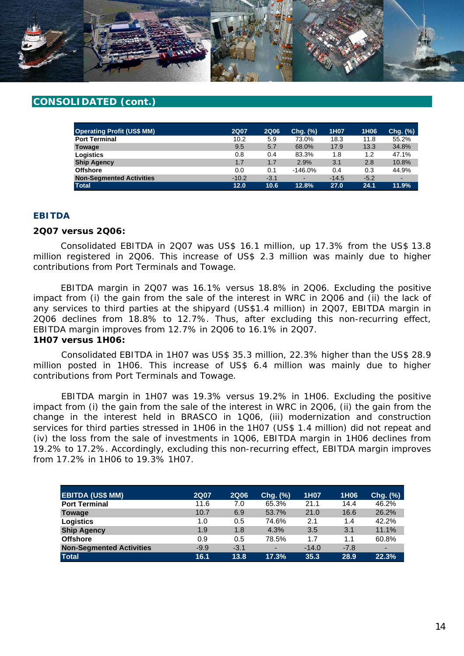

| <b>Operating Profit (US\$ MM)</b> | <b>2Q07</b> | <b>2Q06</b> | Chg. (%)   | 1H07    | 1H <sub>06</sub> | $Chg.$ $(\%)$ |
|-----------------------------------|-------------|-------------|------------|---------|------------------|---------------|
| <b>Port Terminal</b>              | 10.2        | 5.9         | 73.0%      | 18.3    | 11.8             | 55.2%         |
| Towage                            | 9.5         | 5.7         | 68.0%      | 17.9    | 13.3             | 34.8%         |
| Logistics                         | 0.8         | 0.4         | 83.3%      | 1.8     | 1.2              | 47.1%         |
| <b>Ship Agency</b>                | 1.7         | 1.7         | 2.9%       | 3.1     | 2.8              | 10.8%         |
| <b>Offshore</b>                   | 0.0         | 0.1         | $-146.0\%$ | 0.4     | 0.3              | 44.9%         |
| <b>Non-Segmented Activities</b>   | $-10.2$     | $-3.1$      | ٠          | $-14.5$ | $-5.2$           | -             |
| <b>Total</b>                      | 12.0        | 10.6        | 12.8%      | 27.0    | 24.1             | 11.9%         |

# **EBITDA**

#### **2Q07 versus 2Q06:**

Consolidated EBITDA in 2Q07 was US\$ 16.1 million, up 17.3% from the US\$ 13.8 million registered in 2Q06. This increase of US\$ 2.3 million was mainly due to higher contributions from Port Terminals and Towage.

EBITDA margin in 2Q07 was 16.1% versus 18.8% in 2Q06. Excluding the positive impact from (i) the gain from the sale of the interest in WRC in 2Q06 and (ii) the lack of any services to third parties at the shipyard (US\$1.4 million) in 2Q07, EBITDA margin in 2Q06 declines from 18.8% to 12.7%. Thus, after excluding this non-recurring effect, EBITDA margin improves from 12.7% in 2Q06 to 16.1% in 2Q07.

#### **1H07 versus 1H06:**

Consolidated EBITDA in 1H07 was US\$ 35.3 million, 22.3% higher than the US\$ 28.9 million posted in 1H06. This increase of US\$ 6.4 million was mainly due to higher contributions from Port Terminals and Towage.

EBITDA margin in 1H07 was 19.3% versus 19.2% in 1H06. Excluding the positive impact from (i) the gain from the sale of the interest in WRC in 2Q06, (ii) the gain from the change in the interest held in BRASCO in 1Q06, (iii) modernization and construction services for third parties stressed in 1H06 in the 1H07 (US\$ 1.4 million) did not repeat and (iv) the loss from the sale of investments in 1Q06, EBITDA margin in 1H06 declines from 19.2% to 17.2%. Accordingly, excluding this non-recurring effect, EBITDA margin improves from 17.2% in 1H06 to 19.3% 1H07.

| <b>EBITDA (US\$ MM)</b>         | <b>2Q07</b> | <b>2Q06</b> | Chg. (%)                 | 1H07    | 1H <sub>06</sub> | Chg. (%)                 |
|---------------------------------|-------------|-------------|--------------------------|---------|------------------|--------------------------|
| <b>Port Terminal</b>            | 11.6        | 7.0         | 65.3%                    | 21.1    | 14.4             | 46.2%                    |
| <b>Towage</b>                   | 10.7        | 6.9         | 53.7%                    | 21.0    | 16.6             | 26.2%                    |
| Logistics                       | 1.0         | 0.5         | 74.6%                    | 2.1     | 1.4              | 42.2%                    |
| <b>Ship Agency</b>              | 1.9         | 1.8         | 4.3%                     | 3.5     | 3.1              | 11.1%                    |
| <b>Offshore</b>                 | 0.9         | 0.5         | 78.5%                    | 1.7     | 1.1              | 60.8%                    |
| <b>Non-Segmented Activities</b> | $-9.9$      | $-3.1$      | $\overline{\phantom{0}}$ | $-14.0$ | $-7.8$           | $\overline{\phantom{0}}$ |
| <b>Total</b>                    | 16.1        | 13.8        | 17.3%                    | 35.3    | 28.9             | 22.3%                    |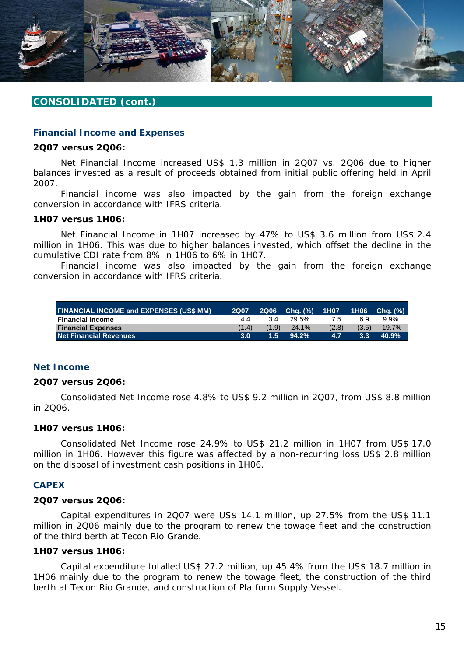

#### **Financial Income and Expenses**

#### **2Q07 versus 2Q06:**

Net Financial Income increased US\$ 1.3 million in 2Q07 vs. 2Q06 due to higher balances invested as a result of proceeds obtained from initial public offering held in April 2007.

Financial income was also impacted by the gain from the foreign exchange conversion in accordance with IFRS criteria.

#### **1H07 versus 1H06:**

Net Financial Income in 1H07 increased by 47% to US\$ 3.6 million from US\$ 2.4 million in 1H06. This was due to higher balances invested, which offset the decline in the cumulative CDI rate from 8% in 1H06 to 6% in 1H07.

Financial income was also impacted by the gain from the foreign exchange conversion in accordance with IFRS criteria.

| <b>FINANCIAL INCOME and EXPENSES (US\$ MM)</b> | <b>2Q07</b> | <b>2Q06</b> | Chq. (%)  | 1H07  |               | 1H06 Chq. (%) |
|------------------------------------------------|-------------|-------------|-----------|-------|---------------|---------------|
| <b>Financial Income</b>                        | 44          | 3.4         | 29.5%     | 7.5   | 6.9           | 9.9%          |
| <b>Financial Expenses</b>                      | (1.4)       | (1.9)       | $-24.1\%$ | (2.8) | (3.5)         | $-19.7\%$     |
| <b>Net Financial Revenues</b>                  | 3.0         | 1.57        | 94.2%     | 4.7   | $3.3^{\circ}$ | 40.9%         |

#### **Net Income**

#### **2Q07 versus 2Q06:**

Consolidated Net Income rose 4.8% to US\$ 9.2 million in 2Q07, from US\$ 8.8 million in 2Q06.

#### **1H07 versus 1H06:**

Consolidated Net Income rose 24.9% to US\$ 21.2 million in 1H07 from US\$ 17.0 million in 1H06. However this figure was affected by a non-recurring loss US\$ 2.8 million on the disposal of investment cash positions in 1H06.

#### **CAPEX**

#### **2Q07 versus 2Q06:**

Capital expenditures in 2Q07 were US\$ 14.1 million, up 27.5% from the US\$ 11.1 million in 2Q06 mainly due to the program to renew the towage fleet and the construction of the third berth at Tecon Rio Grande.

#### **1H07 versus 1H06:**

Capital expenditure totalled US\$ 27.2 million, up 45.4% from the US\$ 18.7 million in 1H06 mainly due to the program to renew the towage fleet, the construction of the third berth at Tecon Rio Grande, and construction of Platform Supply Vessel.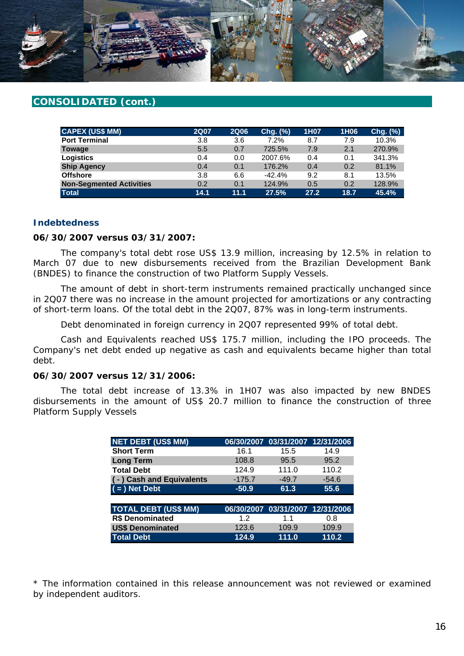

| <b>CAPEX (US\$ MM)</b>          | <b>2Q07</b> | <b>2Q06</b> | Chg. (%) | 1H07 | 1H06 | Chg. (%) |
|---------------------------------|-------------|-------------|----------|------|------|----------|
| <b>Port Terminal</b>            | 3.8         | 3.6         | 7.2%     | 8.7  | 7.9  | 10.3%    |
| <b>Towage</b>                   | 5.5         | 0.7         | 725.5%   | 7.9  | 2.1  | 270.9%   |
| Logistics                       | 0.4         | 0.0         | 2007.6%  | 0.4  | 0.1  | 341.3%   |
| <b>Ship Agency</b>              | 0.4         | 0.1         | 176.2%   | 0.4  | 0.2  | 81.1%    |
| <b>Offshore</b>                 | 3.8         | 6.6         | $-42.4%$ | 9.2  | 8.1  | 13.5%    |
| <b>Non-Segmented Activities</b> | 0.2         | 0.1         | 124.9%   | 0.5  | 0.2  | 128.9%   |
| <b>Total</b>                    | 14.1        | 11.1        | 27.5%    | 27.2 | 18.7 | 45.4%    |

#### **Indebtedness**

#### **06/30/2007 versus 03/31/2007:**

The company's total debt rose US\$ 13.9 million, increasing by 12.5% in relation to March 07 due to new disbursements received from the Brazilian Development Bank (BNDES) to finance the construction of two Platform Supply Vessels.

The amount of debt in short-term instruments remained practically unchanged since in 2Q07 there was no increase in the amount projected for amortizations or any contracting of short-term loans. Of the total debt in the 2Q07, 87% was in long-term instruments.

Debt denominated in foreign currency in 2Q07 represented 99% of total debt.

Cash and Equivalents reached US\$ 175.7 million, including the IPO proceeds. The Company's net debt ended up negative as cash and equivalents became higher than total debt.

#### **06/30/2007 versus 12/31/2006:**

The total debt increase of 13.3% in 1H07 was also impacted by new BNDES disbursements in the amount of US\$ 20.7 million to finance the construction of three Platform Supply Vessels

| <b>NET DEBT (US\$ MM)</b>   | 06/30/2007 |                                  | 03/31/2007 12/31/2006 |
|-----------------------------|------------|----------------------------------|-----------------------|
| <b>Short Term</b>           | 16.1       | 15.5                             | 14.9                  |
| <b>Long Term</b>            | 108.8      | 95.5                             | 95.2                  |
| <b>Total Debt</b>           | 124.9      | 111.0                            | 110.2                 |
| (-) Cash and Equivalents    | $-175.7$   | $-49.7$                          | $-54.6$               |
| $($ = $)$ Net Debt          | $-50.9$    | 61.3                             | 55.6                  |
|                             |            |                                  |                       |
| <b>TOTAL DEBT (US\$ MM)</b> |            | 06/30/2007 03/31/2007 12/31/2006 |                       |
| <b>R\$ Denominated</b>      | 1.2        | 1.1                              | 0.8                   |
| <b>US\$ Denominated</b>     | 123.6      | 109.9                            | 109.9                 |
| <b>Total Debt</b>           | 124.9      | 111.0                            | 110.2                 |

\* The information contained in this release announcement was not reviewed or examined by independent auditors.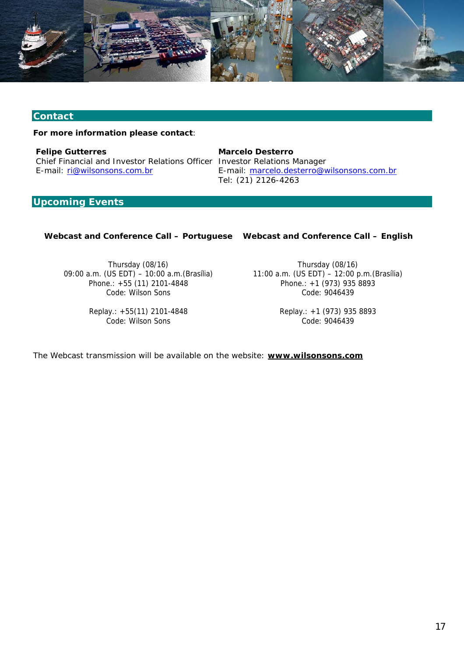

# **Contact**

**For more information please contact**:

*Felipe Gutterres*  Chief Financial and Investor Relations Officer Investor Relations Manager E-mail: ri@wilsonsons.com.br

*Marcelo Desterro*  E-mail: marcelo.desterro@wilsonsons.com.br Tel: (21) 2126-4263

# **Upcoming Events**

#### **Webcast and Conference Call – Portuguese Webcast and Conference Call – English**

Thursday (08/16) 09:00 a.m. (US EDT) – 10:00 a.m.(Brasília) Phone.: +55 (11) 2101-4848 Code: Wilson Sons

> Replay.: +55(11) 2101-4848 Code: Wilson Sons

Thursday (08/16) 11:00 a.m. (US EDT) – 12:00 p.m.(Brasília) Phone.: +1 (973) 935 8893 Code: 9046439

> Replay.: +1 (973) 935 8893 Code: 9046439

The Webcast transmission will be available on the website: **www.wilsonsons.com**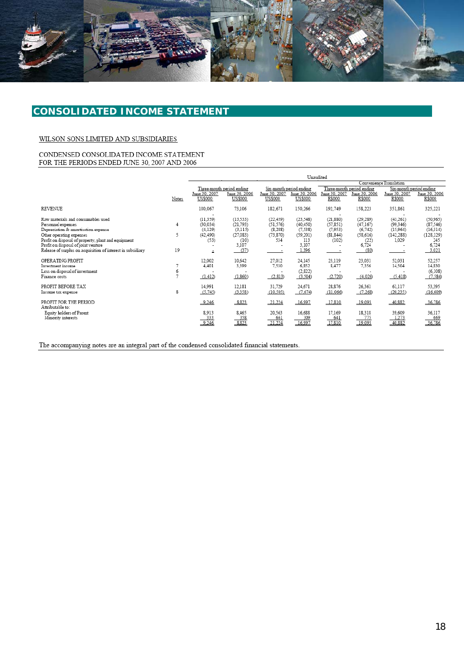

# **CONSOLIDATED INCOME STATEMENT**

#### WILSON SONS LIMITED AND SUBSIDIARIES

#### CONDENSED CONSOLIDATED INCOME STATEMENT FOR THE PERIODS ENDED JUNE 30, 2007 AND 2006

|                                                                                                                                                                                                                                                                                          |                         | Unaudited                                                                               |                                                                         |                                                        |                                                                          |                                                        |                                                                          |                                                           |                                                                            |
|------------------------------------------------------------------------------------------------------------------------------------------------------------------------------------------------------------------------------------------------------------------------------------------|-------------------------|-----------------------------------------------------------------------------------------|-------------------------------------------------------------------------|--------------------------------------------------------|--------------------------------------------------------------------------|--------------------------------------------------------|--------------------------------------------------------------------------|-----------------------------------------------------------|----------------------------------------------------------------------------|
|                                                                                                                                                                                                                                                                                          |                         |                                                                                         |                                                                         |                                                        |                                                                          | Convenience Translation                                |                                                                          |                                                           |                                                                            |
|                                                                                                                                                                                                                                                                                          |                         |                                                                                         | Three-month period ending                                               |                                                        | Six-month period ending                                                  |                                                        | Three-month period ending                                                | Six-month period ending                                   |                                                                            |
|                                                                                                                                                                                                                                                                                          | Notes                   | June 30, 2007<br>US\$000                                                                | June 30, 2006<br>US\$000                                                | June 30, 2007<br>US\$000                               | June 30, 2006<br>US\$000                                                 | June 30, 2007<br>R\$000                                | June 30, 2006<br>R\$000                                                  | June 30, 2007<br>R\$000                                   | June 30, 2006<br>R\$000                                                    |
| REVENUE                                                                                                                                                                                                                                                                                  |                         | 100,067                                                                                 | 73,106                                                                  | 182,671                                                | 150,266                                                                  | 192,749                                                | 158,223                                                                  | 351,861                                                   | 325,221                                                                    |
| Raw materials and consumables used<br>Personnel expenses<br>Depreciation & amortisation expense<br>Other operating expenses<br>Profit on disposal of property, plant and equipment<br>Profit on disposal of joint venture<br>Release of surplus on acquisition of interest in subsidiary | 4<br>5<br>19            | (11, 359)<br>(30, 034)<br>(4,129)<br>(42, 490)<br>(53)<br>$\overline{\phantom{a}}$<br>÷ | (13, 533)<br>(21, 793)<br>(3, 115)<br>(27,083)<br>(10)<br>3,107<br>(37) | (22, 459)<br>(51, 576)<br>(8, 288)<br>(73, 870)<br>534 | (23, 548)<br>(40, 450)<br>(7, 538)<br>(59, 201)<br>113<br>3,107<br>1,396 | (21,880)<br>(57, 851)<br>(7,953)<br>(81, 844)<br>(102) | (29, 289)<br>(47, 167)<br>(6, 742)<br>(58, 616)<br>(22)<br>6,724<br>(80) | (43, 261)<br>(99, 346)<br>(15,964)<br>(142, 288)<br>1,029 | (50, 965)<br>(87, 546)<br>(16, 314)<br>(128, 129)<br>245<br>6,724<br>3,021 |
| OPERATING PROFIT<br>Investment income<br>Loss on disposal of investment<br>Finance costs                                                                                                                                                                                                 | $\mathbf{\bar{a}}$<br>6 | 12,002<br>4,401<br>(1, 412)                                                             | 10,642<br>3,399<br>(1,860)                                              | 27,012<br>7,530<br>(2,813)                             | 24,145<br>6,852<br>(2,822)<br>(3,504)                                    | 23,119<br>8,477<br>(2,720)                             | 23,031<br>7,356<br>(4.026)                                               | 52,031<br>14,504<br>(5,418)                               | 52,257<br>14,830<br>(6,108)<br>(7, 584)                                    |
| PROFIT BEFORE TAX<br>Income tax expense                                                                                                                                                                                                                                                  | 8                       | 14,991<br>(5,745)                                                                       | 12,181<br>(3,358)                                                       | 31,729<br>(10, 505)                                    | 24,671<br>(7,674)                                                        | 28,876<br>(11,066)                                     | 26,361<br>(7,268)                                                        | 61,117<br>(20, 235)                                       | 53,395<br>(16, 609)                                                        |
| PROFIT FOR THE PERIOD<br>Attributable to:<br>Equity holders of Parent<br>Minority interests                                                                                                                                                                                              |                         | 9,246<br>8,913<br>333<br>9,246                                                          | 8,823<br>8,465<br>358<br>8,823                                          | 21,224<br>20,563<br>661<br>21,224                      | 16,997<br>16.688<br>309<br>16,997                                        | 17,810<br>17,169<br>641<br>17,810                      | 19,093<br>18,318<br>775<br>19,093                                        | 40,882<br>39,609<br>1,273<br>40,882                       | 36,786<br>36,117<br>669<br>36,786                                          |

The accompanying notes are an integral part of the condensed consolidated financial statements.